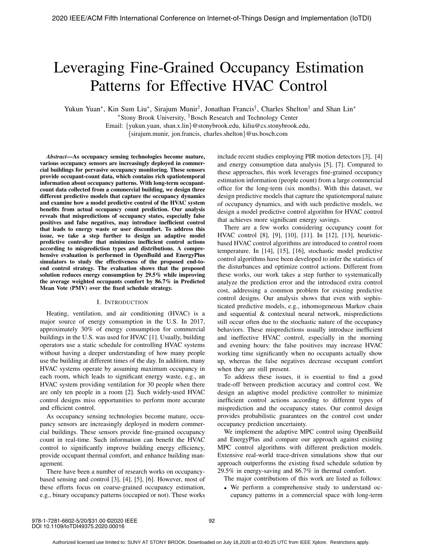# Leveraging Fine-Grained Occupancy Estimation Patterns for Effective HVAC Control

Yukun Yuan∗, Kin Sum Liu∗, Sirajum Munir†, Jonathan Francis†, Charles Shelton† and Shan Lin∗

∗Stony Brook University, †Bosch Research and Technology Center

Email: {yukun.yuan, shan.x.lin}@stonybrook.edu, kiliu@cs.stonybrook.edu,

{sirajum.munir, jon.francis, charles.shelton}@us.bosch.com

*Abstract*—As occupancy sensing technologies become mature, various occupancy sensors are increasingly deployed in commercial buildings for pervasive occupancy monitoring. These sensors provide occupant-count data, which contains rich spatiotemporal information about occupancy patterns. With long-term occupantcount data collected from a commercial building, we design three different predictive models that capture the occupancy dynamics and examine how a model predictive control of the HVAC system benefits from actual occupancy count prediction. Our analysis reveals that mispredictions of occupancy states, especially false positives and false negatives, may introduce inefficient control that leads to energy waste or user discomfort. To address this issue, we take a step further to design an adaptive model predictive controller that minimizes inefficient control actions according to misprediction types and distributions. A comprehensive evaluation is performed in OpenBuild and EnergyPlus simulators to study the effectiveness of the proposed end-toend control strategy. The evaluation shows that the proposed solution reduces energy consumption by 29.5% while improving the average weighted occupants comfort by 86.7% in Predicted Mean Vote (PMV) over the fixed schedule strategy.

# I. INTRODUCTION

Heating, ventilation, and air conditioning (HVAC) is a major source of energy consumption in the U.S. In 2017, approximately 30% of energy consumption for commercial buildings in the U.S. was used for HVAC [1]. Usually, building operators use a static schedule for controlling HVAC systems without having a deeper understanding of how many people use the building at different times of the day. In addition, many HVAC systems operate by assuming maximum occupancy in each room, which leads to significant energy waste, e.g., an HVAC system providing ventilation for 30 people when there are only ten people in a room [2]. Such widely-used HVAC control designs miss opportunities to perform more accurate and efficient control.

As occupancy sensing technologies become mature, occupancy sensors are increasingly deployed in modern commercial buildings. These sensors provide fine-grained occupancy count in real-time. Such information can benefit the HVAC control to significantly improve building energy efficiency, provide occupant thermal comfort, and enhance building management.

There have been a number of research works on occupancybased sensing and control [3], [4], [5], [6]. However, most of these efforts focus on coarse-grained occupancy estimation, e.g., binary occupancy patterns (occupied or not). These works include recent studies employing PIR motion detectors [3], [4] and energy consumption data analysis [5], [7]. Compared to these approaches, this work leverages fine-grained occupancy estimation information (people count) from a large commercial office for the long-term (six months). With this dataset, we design predictive models that capture the spatiotemporal nature of occupancy dynamics, and with such predictive models, we design a model predictive control algorithm for HVAC control that achieves more significant energy savings.

There are a few works considering occupancy count for HVAC control [8], [9], [10], [11]. In [12], [13], heuristicbased HVAC control algorithms are introduced to control room temperature. In [14], [15], [16], stochastic model predictive control algorithms have been developed to infer the statistics of the disturbances and optimize control actions. Different from these works, our work takes a step further to systematically analyze the prediction error and the introduced extra control cost, addressing a common problem for existing predictive control designs. Our analysis shows that even with sophisticated predictive models, e.g., inhomogeneous Markov chain and sequential & contextual neural network, mispredictions still occur often due to the stochastic nature of the occupancy behaviors. These mispredictions usually introduce inefficient and ineffective HVAC control, especially in the morning and evening hours: the false positives may increase HVAC working time significantly when no occupants actually show up, whereas the false negatives decrease occupant comfort when they are still present.

To address these issues, it is essential to find a good trade-off between prediction accuracy and control cost. We design an adaptive model predictive controller to minimize inefficient control actions according to different types of misprediction and the occupancy states. Our control design provides probabilistic guarantees on the control cost under occupancy prediction uncertainty.

We implement the adaptive MPC control using OpenBuild and EnergyPlus and compare our approach against existing MPC control algorithms with different prediction models. Extensive real-world trace-driven simulations show that our approach outperforms the existing fixed schedule solution by 29.5% in energy-saving and 86.7% in thermal comfort.

- The major contributions of this work are listed as follows:
- We perform a comprehensive study to understand occupancy patterns in a commercial space with long-term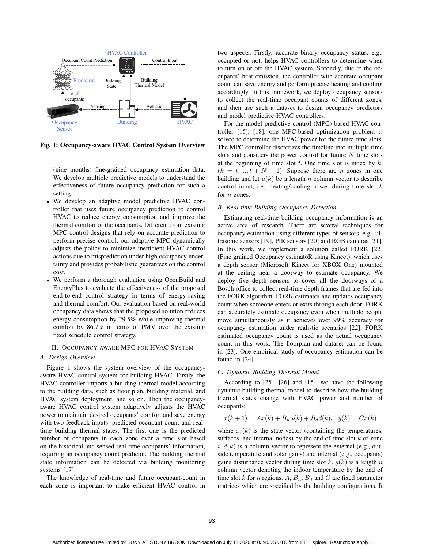

Fig. 1: Occupancy-aware HVAC Control System Overview

(nine months) fine-grained occupancy estimation data. We develop multiple predictive models to understand the effectiveness of future occupancy prediction for such a setting.

- We develop an adaptive model predictive HVAC controller that uses future occupancy prediction to control HVAC to reduce energy consumption and improve the thermal comfort of the occupants. Different from existing MPC control designs that rely on accurate prediction to perform precise control, our adaptive MPC dynamically adjusts the policy to minimize inefficient HVAC control actions due to misprediction under high occupancy uncertainty and provides probabilistic guarantees on the control cost.
- We perform a thorough evaluation using OpenBuild and EnergyPlus to evaluate the effectiveness of the proposed end-to-end control strategy in terms of energy-saving and thermal comfort. Our evaluation based on real-world occupancy data shows that the proposed solution reduces energy consumption by 29.5% while improving thermal comfort by 86.7% in terms of PMV over the existing fixed schedule control strategy.

## II. OCCUPANCY-AWARE MPC FOR HVAC SYSTEM

## *A. Design Overview*

Figure 1 shows the system overview of the occupancyaware HVAC control system for building HVAC. Firstly, the HVAC controller imports a building thermal model according to the building data, such as floor plan, building material, and HVAC system deployment, and so on. Then the occupancyaware HVAC control system adaptively adjusts the HVAC power to maintain desired occupants' comfort and save energy with two feedback inputs: predicted occupant-count and realtime building thermal states. The first one is the predicted number of occupants in each zone over a time slot based on the historical and sensed real-time occupants' information, requiring an occupancy count predictor. The building thermal state information can be detected via building monitoring systems [17].

The knowledge of real-time and future occupant-count in each zone is important to make efficient HVAC control in two aspects. Firstly, accurate binary occupancy status, e.g., occupied or not, helps HVAC controllers to determine when to turn on or off the HVAC system. Secondly, due to the occupants' heat emission, the controller with accurate occupant count can save energy and perform precise heating and cooling accordingly. In this framework, we deploy occupancy sensors to collect the real-time occupant counts of different zones, and then use such a dataset to design occupancy predictors and model predictive HVAC controllers.

For the model predictive control (MPC) based HVAC controller [15], [18], one MPC-based optimization problem is solved to determine the HVAC power for the future time slots. The MPC controller discretizes the timeline into multiple time slots and considers the power control for future  $N$  time slots at the beginning of time slot  $t$ . One time slot is index by  $k$ ,  $(k = t, ..., t + N - 1)$ . Suppose there are *n* zones in one building and let  $u(k)$  be a length n column vector to describe control input, i.e., heating/cooling power during time slot  $k$ for *n* zones.

#### *B. Real-time Building Occupancy Detection*

Estimating real-time building occupancy information is an active area of research. There are several techniques for occupancy estimation using different types of sensors, e.g., ultrasonic sensors [19], PIR sensors [20] and RGB cameras [21]. In this work, we implement a solution called FORK [22] (Fine grained Occupancy estimatoR using Kinect), which uses a depth sensor (Microsoft Kinect for XBOX One) mounted at the ceiling near a doorway to estimate occupancy. We deploy five depth sensors to cover all the doorways of a Bosch office to collect real-time depth frames that are fed into the FORK algorithm. FORK estimates and updates occupancy count when someone enters or exits through each door. FORK can accurately estimate occupancy even when multiple people move simultaneously as it achieves over 99% accuracy for occupancy estimation under realistic scenarios [22]. FORK estimated occupancy count is used as the actual occupancy count in this work. The floorplan and dataset can be found in [23]. One empirical study of occupancy estimation can be found in [24].

#### *C. Dynamic Building Thermal Model*

According to [25], [26] and [15], we have the following dynamic building thermal model to describe how the building thermal states change with HVAC power and number of occupants:

$$
x(k + 1) = Ax(k) + B_u u(k) + B_d d(k), \quad y(k) = Cx(k)
$$

where  $x_i(k)$  is the state vector (containing the temperatures, surfaces, and internal nodes) by the end of time slot  $k$  of zone i.  $d(k)$  is a column vector to represent the external (e.g., outside temperature and solar gains) and internal (e.g., occupants) gains disturbance vector during time slot k.  $y(k)$  is a length n column vector denoting the indoor temperature by the end of time slot k for n regions. A,  $B_u$ ,  $B_d$  and C are fixed parameter matrices which are specified by the building configurations. It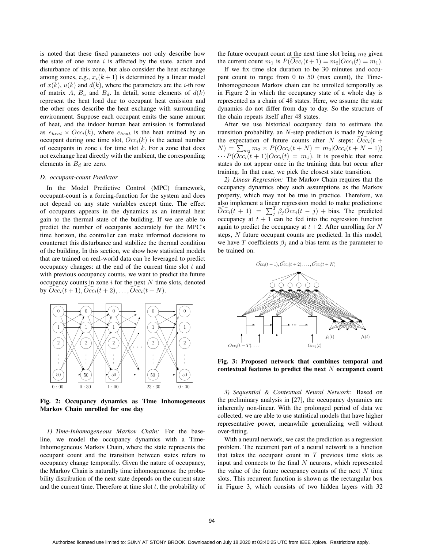is noted that these fixed parameters not only describe how the state of one zone  $i$  is affected by the state, action and disturbance of this zone, but also consider the heat exchange among zones, e.g.,  $x_i(k+1)$  is determined by a linear model of  $x(k)$ ,  $u(k)$  and  $d(k)$ , where the parameters are the *i*-th row of matrix A,  $B_u$  and  $B_d$ . In detail, some elements of  $d(k)$ represent the heat load due to occupant heat emission and the other ones describe the heat exchange with surrounding environment. Suppose each occupant emits the same amount of heat, and the indoor human heat emission is formulated as  $e_{heat} \times Occ_i(k)$ , where  $e_{heat}$  is the heat emitted by an occupant during one time slot,  $Occ<sub>i</sub>(k)$  is the actual number of occupants in zone  $i$  for time slot  $k$ . For a zone that does not exchange heat directly with the ambient, the corresponding elements in  $B_d$  are zero.

#### *D. occupant-count Predictor*

In the Model Predictive Control (MPC) framework, occupant-count is a forcing-function for the system and does not depend on any state variables except time. The effect of occupants appears in the dynamics as an internal heat gain to the thermal state of the building. If we are able to predict the number of occupants accurately for the MPC's time horizon, the controller can make informed decisions to counteract this disturbance and stabilize the thermal condition of the building. In this section, we show how statistical models that are trained on real-world data can be leveraged to predict occupancy changes: at the end of the current time slot  $t$  and with previous occupancy counts, we want to predict the future occupancy counts in zone  $i$  for the next  $N$  time slots, denoted by  $\widehat{Occ}_i(t+1), \widehat{Occ}_i(t+2), \ldots, \widehat{Occ}_i(t+N)$ .



Fig. 2: Occupancy dynamics as Time Inhomogeneous Markov Chain unrolled for one day

*1) Time-Inhomogeneous Markov Chain:* For the baseline, we model the occupancy dynamics with a Time-Inhomogeneous Markov Chain, where the state represents the occupant count and the transition between states refers to occupancy change temporally. Given the nature of occupancy, the Markov Chain is naturally time inhomogeneous: the probability distribution of the next state depends on the current state and the current time. Therefore at time slot  $t$ , the probability of the future occupant count at the next time slot being  $m_2$  given the current count  $m_1$  is  $P(\widehat{Occ}_i(t+1) = m_2|Occ_i(t) = m_1)$ .

If we fix time slot duration to be 30 minutes and occupant count to range from 0 to 50 (max count), the Time-Inhomogeneous Markov chain can be unrolled temporally as in Figure 2 in which the occupancy state of a whole day is represented as a chain of 48 states. Here, we assume the state dynamics do not differ from day to day. So the structure of the chain repeats itself after 48 states.

After we use historical occupancy data to estimate the transition probability, an N-step prediction is made by taking the expectation of future counts after N steps:  $\widehat{Occ}_i(t +$  $N) = \sum_{m_2} m_2 \times P(Occ_i(t + N) = m_2|Occ_i(t + N - 1))$  $\cdots P(\overline{Occ}_i(t+1)|Occ_i(t) = m_1)$ . It is possible that some states do not appear once in the training data but occur after training. In that case, we pick the closest state transition.

*2) Linear Regression:* The Markov Chain requires that the occupancy dynamics obey such assumptions as the Markov property, which may not be true in practice. Therefore, we also implement a linear regression model to make predictions:  $\overline{Occ}_i(t + 1) = \sum_j^T \beta_j Occ_i(t - j) + \text{bias}$ . The predicted occupancy at  $t + 1$  can be fed into the regression function again to predict the occupancy at  $t + 2$ . After unrolling for N steps, N future occupant counts are predicted. In this model, we have T coefficients  $\beta_i$  and a bias term as the parameter to be trained on.



Fig. 3: Proposed network that combines temporal and contextual features to predict the next  $N$  occupanct count

*3) Sequential & Contextual Neural Network:* Based on the preliminary analysis in [27], the occupancy dynamics are inherently non-linear. With the prolonged period of data we collected, we are able to use statistical models that have higher representative power, meanwhile generalizing well without over-fitting.

With a neural network, we cast the prediction as a regression problem. The recurrent part of a neural network is a function that takes the occupant count in  $T$  previous time slots as input and connects to the final  $N$  neurons, which represented the value of the future occupancy counts of the next  $N$  time slots. This recurrent function is shown as the rectangular box in Figure 3, which consists of two hidden layers with 32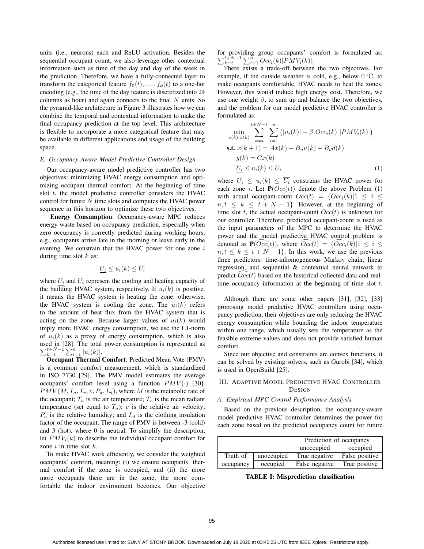units (i.e., neurons) each and ReLU activation. Besides the sequential occupant count, we also leverage other contextual information such as time of the day and day of the week in the prediction. Therefore, we have a fully-connected layer to transform the categorical feature  $f_0(t),...,f_k(t)$  to a one-hot encoding (e.g., the time of the day feature is discretized into 24 columns as hour) and again connects to the final  $N$  units. So the pyramid-like architecture in Figure 3 illustrates how we can combine the temporal and contextual information to make the final occupancy prediction at the top level. This architecture is flexible to incorporate a more categorical feature that may be available in different applications and usage of the building space.

## *E. Occupancy Aware Model Predictive Controller Design*

Our occupancy-aware model predictive controller has two objectives: minimizing HVAC energy consumption and optimizing occupant thermal comfort. At the beginning of time slot  $t$ , the model predictive controller considers the HVAC control for future N time slots and computes the HVAC power sequence in this horizon to optimize these two objectives.

Energy Consumption: Occupancy-aware MPC reduces energy waste based on occupancy prediction, especially when zero occupancy is correctly predicted during working hours, e.g., occupants arrive late in the morning or leave early in the evening. We constrain that the HVAC power for one zone  $i$ during time slot  $k$  as:

$$
U_i \le u_i(k) \le \overline{U_i}
$$

where  $U_i$  and  $\overline{U_i}$  represent the cooling and heating capacity of the building HVAC system, respectively. If  $u_i(k)$  is positive, it means the HVAC system is heating the zone; otherwise, the HVAC system is cooling the zone. The  $u_i(k)$  refers to the amount of heat flux from the HVAC system that is acting on the zone. Because larger values of  $u_i(k)$  would imply more HVAC energy consumption, we use the L1-norm of  $u_i(k)$  as a proxy of energy consumption, which is also used in [28]. The total power consumption is represented as  $\sum_{k=t}^{t+N-1} \sum_{i=1}^{n} |u_i(k)|$ .

Occupant Thermal Comfort: Predicted Mean Vote (PMV) is a common comfort measurement, which is standardized in ISO 7730 [29]. The PMV model estimates the average occupants' comfort level using a function  $PMV(\cdot)$  [30]:  $PMV(M, T_a, T_r, v, P_a, I_{cl})$ , where M is the metabolic rate of the occupant;  $T_a$  is the air temperature;  $T_r$  is the mean radiant temperature (set equal to  $T_a$ ); v is the relative air velocity;  $P_a$  is the relative humidity; and  $I_{cl}$  is the clothing insulation factor of the occupant. The range of PMV is between -3 (cold) and 3 (hot), where 0 is neutral. To simplify the description, let  $PMV_i(k)$  to describe the individual occupant comfort for zone  $i$  in time slot  $k$ .

To make HVAC work efficiently, we consider the weighted occupants' comfort, meaning: (i) we ensure occupants' thermal comfort if the zone is occupied, and (ii) the more more occupants there are in the zone, the more comfortable the indoor environment becomes. Our objective for providing group occupants' comfort is formulated as:  $\sum_{k=t}^{t+N-1} \sum_{i=1}^{n} Occ_i(k)|PMV_i(k)|.$ 

There exists a trade-off between the two objectives. For example, if the outside weather is cold, e.g., below  $0^{\circ}$ C, to make occupants comfortable, HVAC needs to heat the zones. However, this would induce high energy cost. Therefore, we use one weight  $\beta$ , to sum up and balance the two objectives, and the problem for our model predictive HVAC controller is formulated as:

$$
\min_{u(k),x(k)} \sum_{k=t}^{t+N-1} \sum_{i=1}^{n} (|u_i(k)| + \beta \text{ Occ}_i(k) |PMV_i(k)|)
$$
\n
$$
\text{s.t. } x(k+1) = Ax(k) + B_u u(k) + B_d d(k)
$$
\n
$$
y(k) = Cx(k)
$$
\n
$$
\underbrace{U_i \le u_i(k) \le \overline{U_i}} \tag{1}
$$

where  $U_i \leq u_i(k) \leq \overline{U_i}$  constrains the HVAC power for each zone *i*. Let  $P(Occ(t))$  denote the above Problem (1) with actual occupant-count  $Occ(t) = \{Occ_i(k) | 1 \leq i \leq$  $n, t \leq k \leq t + N - 1$ . However, at the beginning of time slot t, the actual occupant-count  $Occ(t)$  is unknown for our controller. Therefore, predicted occupant-count is used as the input parameters of the MPC to determine the HVAC power and the model predictive HVAC control problem is denoted as  $\mathbf{P}(\widehat{Occ}(t))$ , where  $\widehat{Occ}(t) = {\widehat{Occ}_i(k)} | 1 \leq i \leq$  $n, t \leq k \leq t + N - 1$ . In this work, we use the previous three predictors: time-inhomogeneous Markov chain, linear regression, and sequential & contextual neural network to predict  $\widehat{Occ}(t)$  based on the historical collected data and realtime occupancy information at the beginning of time slot t.

Although there are some other papers [31], [32], [33] proposing model predictive HVAC controllers using occupancy prediction, their objectives are only reducing the HVAC energy consumption while bounding the indoor temperature within one range, which usually sets the temperature as the feasible extreme values and does not provide satisfied human comfort.

Since our objective and constraints are convex functions, it can be solved by existing solvers, such as Gurobi [34], which is used in OpenBuild [25].

# III. ADAPTIVE MODEL PREDICTIVE HVAC CONTROLLER DESIGN

# *A. Empirical MPC Control Performance Analysis*

Based on the previous description, the occupancy-aware model predictive HVAC controller determines the power for each zone based on the predicted occupancy count for future

|           |            | Prediction of occupancy |                |  |
|-----------|------------|-------------------------|----------------|--|
|           |            | unoccupied              | occupied       |  |
| Truth of  | unoccupied | True negative           | False positive |  |
| occupancy | occupied   | False negative          | True positive  |  |

TABLE I: Misprediction classification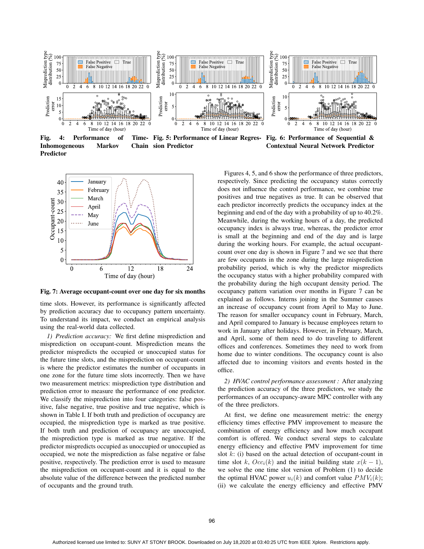

Fig. 4: Performance of Inhomogeneous Markov Predictor Fig. 5: Performance of Linear Regres-Fig. 6: Performance of Sequential & Chain sion Predictor Contextual Neural Network Predictor



Fig. 7: Average occupant-count over one day for six months

time slots. However, its performance is significantly affected by prediction accuracy due to occupancy pattern uncertainty. To understand its impact, we conduct an empirical analysis using the real-world data collected.

*1) Prediction accuracy:* We first define misprediction and misprediction on occupant-count. Misprediction means the predictor mispredicts the occupied or unoccupied status for the future time slots, and the misprediction on occupant-count is where the predictor estimates the number of occupants in one zone for the future time slots incorrectly. Then we have two measurement metrics: misprediction type distribution and prediction error to measure the performance of one predictor. We classify the misprediction into four categories: false positive, false negative, true positive and true negative, which is shown in Table I. If both truth and prediction of occupancy are occupied, the misprediction type is marked as true positive. If both truth and prediction of occupancy are unoccupied, the misprediction type is marked as true negative. If the predictor mispredicts occupied as unoccupied or unoccupied as occupied, we note the misprediction as false negative or false positive, respectively. The prediction error is used to measure the misprediction on occupant-count and it is equal to the absolute value of the difference between the predicted number of occupants and the ground truth.

Figures 4, 5, and 6 show the performance of three predictors, respectively. Since predicting the occupancy status correctly does not influence the control performance, we combine true positives and true negatives as true. It can be observed that each predictor incorrectly predicts the occupancy index at the beginning and end of the day with a probability of up to 40.2%. Meanwhile, during the working hours of a day, the predicted occupancy index is always true, whereas, the predictor error is small at the beginning and end of the day and is large during the working hours. For example, the actual occupantcount over one day is shown in Figure 7 and we see that there are few occupants in the zone during the large misprediction probability period, which is why the predictor mispredicts the occupancy status with a higher probability compared with the probability during the high occupant density period. The occupancy pattern variation over months in Figure 7 can be explained as follows. Interns joining in the Summer causes an increase of occupancy count from April to May to June. The reason for smaller occupancy count in February, March, and April compared to January is because employees return to work in January after holidays. However, in February, March, and April, some of them need to do traveling to different offices and conferences. Sometimes they need to work from home due to winter conditions. The occupancy count is also affected due to incoming visitors and events hosted in the office.

*2) HVAC control performance assessment :* After analyzing the prediction accuracy of the three predictors, we study the performances of an occupancy-aware MPC controller with any of the three predictors.

At first, we define one measurement metric: the energy efficiency times effective PMV improvement to measure the combination of energy efficiency and how much occupant comfort is offered. We conduct several steps to calculate energy efficiency and effective PMV improvement for time slot  $k$ : (i) based on the actual detection of occupant-count in time slot k,  $Occ<sub>i</sub>(k)$  and the initial building state  $x(k - 1)$ , we solve the one time slot version of Problem (1) to decide the optimal HVAC power  $u_i(k)$  and comfort value  $PMV_i(k)$ ; (ii) we calculate the energy efficiency and effective PMV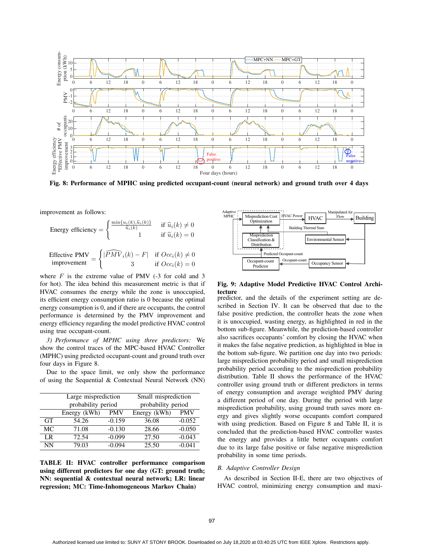

Fig. 8: Performance of MPHC using predicted occupant-count (neural network) and ground truth over 4 days

improvement as follows:

Energy efficiency =  $\int \min\{u_i(k), \hat{u}_i(k)\}$  $\frac{i}{\hat{u}}$ if  $\widehat{u}_i(k) \neq 0$ if  $\widehat{u}_i(k)=0$  $\frac{E_{\text{effective}}}{E_{\text{imp}}}=$  $\begin{cases} | & \text{if } u_i(k) = 0 \end{cases}$ <br> $\left| \widehat{PMV}_i(k) - F \right|$  if  $Occ_i(k) \neq 0$ 3 if  $Occ_i(k) = 0$ 

where  $F$  is the extreme value of PMV  $(-3)$  for cold and 3 for hot). The idea behind this measurement metric is that if HVAC consumes the energy while the zone is unoccupied, its efficient energy consumption ratio is 0 because the optimal energy consumption is 0, and if there are occupants, the control performance is determined by the PMV improvement and energy efficiency regarding the model predictive HVAC control using true occupant-count.

*3) Performance of MPHC using three predictors:* We show the control traces of the MPC-based HVAC Controller (MPHC) using predicted occupant-count and ground truth over four days in Figure 8.

Due to the space limit, we only show the performance of using the Sequential & Contextual Neural Network (NN)

|           | Large misprediction        |          | Small misprediction |            |
|-----------|----------------------------|----------|---------------------|------------|
|           | probability period         |          | probability period  |            |
|           | Energy (kWh)<br><b>PMV</b> |          | Energy (kWh)        | <b>PMV</b> |
| <b>GT</b> | 54.26                      | $-0.159$ | 36.08               | $-0.052$   |
| МC        | 71.08                      | $-0.130$ | 28.66               | $-0.050$   |
| LR        | 72.54                      | $-0.099$ | 27.50               | $-0.043$   |
| <b>NN</b> | 79.03                      | $-0.094$ | 25.50               | $-0.041$   |

TABLE II: HVAC controller performance comparison using different predictors for one day (GT: ground truth; NN: sequential & contextual neural network; LR: linear regression; MC: Time-Inhomogeneous Markov Chain)



# Fig. 9: Adaptive Model Predictive HVAC Control Architecture

predictor, and the details of the experiment setting are described in Section IV. It can be observed that due to the false positive prediction, the controller heats the zone when it is unoccupied, wasting energy, as highlighted in red in the bottom sub-figure. Meanwhile, the prediction-based controller also sacrifices occupants' comfort by closing the HVAC when it makes the false negative prediction, as highlighted in blue in the bottom sub-figure. We partition one day into two periods: large misprediction probability period and small misprediction probability period according to the misprediction probability distribution. Table II shows the performance of the HVAC controller using ground truth or different predictors in terms of energy consumption and average weighted PMV during a different period of one day. During the period with large misprediction probability, using ground truth saves more energy and gives slightly worse occupants comfort compared with using prediction. Based on Figure 8 and Table II, it is concluded that the prediction-based HVAC controller wastes the energy and provides a little better occupants comfort due to its large false positive or false negative misprediction probability in some time periods.

## *B. Adaptive Controller Design*

As described in Section II-E, there are two objectives of HVAC control, minimizing energy consumption and maxi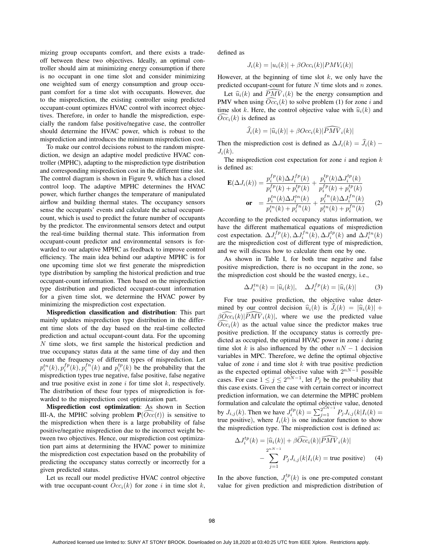mizing group occupants comfort, and there exists a tradeoff between these two objectives. Ideally, an optimal controller should aim at minimizing energy consumption if there is no occupant in one time slot and consider minimizing one weighted sum of energy consumption and group occupant comfort for a time slot with occupants. However, due to the misprediction, the existing controller using predicted occupant-count optimizes HVAC control with incorrect objectives. Therefore, in order to handle the misprediction, especially the random false positive/negative case, the controller should determine the HVAC power, which is robust to the misprediction and introduces the minimum misprediction cost.

To make our control decisions robust to the random misprediction, we design an adaptive model predictive HVAC controller (MPHC), adapting to the misprediction type distribution and corresponding misprediction cost in the different time slot. The control diagram is shown in Figure 9, which has a closed control loop. The adaptive MPHC determines the HVAC power, which further changes the temperature of manipulated airflow and building thermal states. The occupancy sensors sense the occupants' events and calculate the actual occupantcount, which is used to predict the future number of occupants by the predictor. The environmental sensors detect and output the real-time building thermal state. This information from occupant-count predictor and environmental sensors is forwarded to our adaptive MPHC as feedback to improve control efficiency. The main idea behind our adaptive MPHC is for one upcoming time slot we first generate the misprediction type distribution by sampling the historical prediction and true occupant-count information. Then based on the misprediction type distribution and predicted occupant-count information for a given time slot, we determine the HVAC power by minimizing the misprediction cost expectation.

Misprediction classification and distribution: This part mainly updates misprediction type distribution in the different time slots of the day based on the real-time collected prediction and actual occupant-count data. For the upcoming  $N$  time slots, we first sample the historical prediction and true occupancy status data at the same time of day and then count the frequency of different types of misprediction. Let  $p_i^{tn}(k)$ ,  $p_i^{fp}(k)$ ,  $p_i^{fn}(k)$  and  $p_i^{tp}(k)$  be the probability that the misprediction types true negative, false positive, false negative and true positive exist in zone  $i$  for time slot  $k$ , respectively. The distribution of these four types of misprediction is forwarded to the misprediction cost optimization part.

Misprediction cost optimization: As shown in Section III-A, the MPHC solving problem  $\mathbf{P}(\widehat{Occ}(t))$  is sensitive to the misprediction when there is a large probability of false positive/negative misprediction due to the incorrect weight between two objectives. Hence, our misprediction cost optimization part aims at determining the HVAC power to minimize the misprediction cost expectation based on the probability of predicting the occupancy status correctly or incorrectly for a given predicted status.

Let us recall our model predictive HVAC control objective with true occupant-count  $Occ<sub>i</sub>(k)$  for zone i in time slot k, defined as

$$
J_i(k) = |u_i(k)| + \beta Occ_i(k)|PMV_i(k)|
$$

However, at the beginning of time slot  $k$ , we only have the predicted occupant-count for future  $N$  time slots and  $n$  zones. wever, at the beginning of time slot k, we only have the edicted occupant-count for future N time slots and n zones.<br>Let  $\hat{u}_i(k)$  and  $\widehat{PMV}_i(k)$  be the energy consumption and

PMV when using  $\widehat{Occ}_i(k)$  to solve problem (1) for zone i and time slot k. Here, the control objective value with  $\hat{u}_i(k)$  and  $\widehat{Occ}_i(k)$  is defined as if the control objective value<br>defined as  $\widehat{J}_i(k) = |\widehat{u}_i(k)| + \beta Occ_i(k)|\widehat{PMV}$ 

$$
\widehat{J}_i(k) = |\widehat{u}_i(k)| + \beta Occ_i(k)|\widehat{PMV}_i(k)|
$$

Then the misprediction cost is defined as  $\Delta J_i(k) = \hat{J}_i(k)$  –  $J_i(k)$ .

The misprediction cost expectation for zone  $i$  and region  $k$ is defined as:

$$
\mathbf{E}(\Delta J_i(k)) = \frac{p_i^{fp}(k)\Delta J_i^{fp}(k)}{p_i^{fp}(k) + p_i^{tp}(k)} + \frac{p_i^{tp}(k)\Delta J_i^{tp}(k)}{p_i^{fp}(k) + p_i^{tp}(k)}
$$
\n
$$
\mathbf{or} = \frac{p_i^{tn}(k)\Delta J_i^{tn}(k)}{p_i^{tn}(k) + p_i^{fn}(k)} + \frac{p_i^{fn}(k)\Delta J_i^{fn}(k)}{p_i^{tn}(k) + p_i^{fn}(k)}
$$
\n(2)

According to the predicted occupancy status information, we have the different mathematical equations of misprediction cost expectation.  $\Delta J_i^{fp}(k)$ ,  $\Delta J_i^{fn}(k)$ ,  $\Delta J_i^{tp}(k)$  and  $\Delta J_i^{tn}(k)$ are the misprediction cost of different type of misprediction, and we will discuss how to calculate them one by one.

As shown in Table I, for both true negative and false positive misprediction, there is no occupant in the zone, so the misprediction cost should be the wasted energy, i.e.,

$$
\Delta J_i^{tn}(k) = |\widehat{u}_i(k)|, \quad \Delta J_i^{fp}(k) = |\widehat{u}_i(k)| \tag{3}
$$

For true positive prediction, the objective value deter-For true positive prediction, the objective value deter-<br>mined by our control decision  $\hat{u}_i(k)$  is  $\hat{J}_i(k) = |\hat{u}_i(k)| + \beta \widehat{Occ}_i(k)|\widehat{PMV}_i(k)|$ , where we use the predicted value  $\beta\widehat{Occ}_i(k)|\widehat{PMV}_i(k)|$ , where we use the predicted value  $\widehat{Occ}_i(k)$  as the actual value since the predictor makes true positive prediction. If the occupancy status is correctly predicted as occupied, the optimal HVAC power in zone  $i$  during time slot k is also influenced by the other  $nN - 1$  decision variables in MPC. Therefore, we define the optimal objective value of zone  $i$  and time slot  $k$  with true positive prediction as the expected optimal objective value with  $2^{nN-1}$  possible cases. For case  $1 \le j \le 2^{nN-1}$ , let  $P_j$  be the probability that this case exists. Given the case with certain correct or incorrect prediction information, we can determine the MPHC problem formulation and calculate the optimal objective value, denoted by  $J_{i,j}(k)$ . Then we have  $J_i^{tp}(\hat{k}) = \sum_{j=1}^{2^{nN-1}} P_j J_{i,j}(k | I_i(k)) =$ true positive), where  $I_i(k)$  is one indicator function to show the misprediction type. The misprediction cost is defined as:<br>  $\Delta J_i^{tp}(k) = |\hat{u}_i(k)| + \beta \widehat{Occ}_i(k)|\widehat{PMV}_i(k)|$ 

$$
\Delta J_i^{tp}(k) = |\widehat{u}_i(k)| + \beta \widehat{Occ}_i(k) |\widehat{PMV}_i(k)|
$$
  
 
$$
- \sum_{j=1}^{2^{nN-1}} P_j J_{i,j}(k | I_i(k) = \text{true positive}) \quad (4)
$$

In the above function,  $J_i^{tp}(k)$  is one pre-computed constant value for given prediction and misprediction distribution of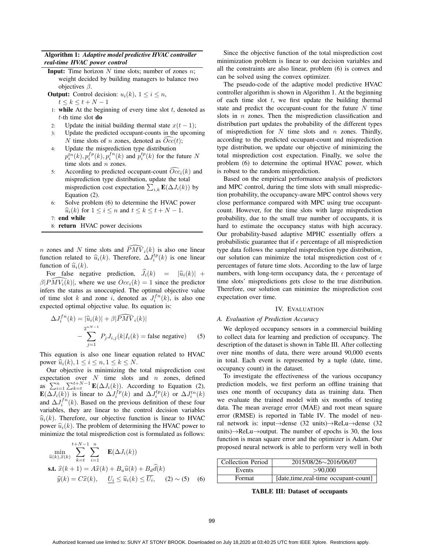# Algorithm 1: *Adaptive model predictive HVAC controller real-time HVAC power control*

- **Input:** Time horizon  $N$  time slots; number of zones  $n$ ; weight decided by building managers to balance two objectives  $\beta$ .
- **Output:** Control decision:  $u_i(k)$ ,  $1 \le i \le n$ ,  $t \leq k \leq t+N-1$
- 1: while At the beginning of every time slot  $t$ , denoted as t-th time slot do
- 2: Update the initial building thermal state  $x(t-1)$ ;
- 3: Update the predicted occupant-counts in the upcoming N time slots of *n* zones, denoted as  $\widehat{Occ}(t)$ ;
- 4: Update the misprediction type distribution  $p_i^{tn}(k)$ ,  $p_i^{fp}(k)$ ,  $p_i^{fn}(k)$  and  $p_i^{tp}(k)$  for the future N time slots and *n* zones.
- 5: According to predicted occupant-count  $\widehat{Occ}_i(k)$  and misprediction type distribution, update the total misprediction cost expectation  $\sum_{i,k} \mathbf{E}(\Delta J_i(k))$  by Equation (2).
- Solve problem (6) to determine the HVAC power  $\widehat{u}_i(k)$  for  $1 \leq i \leq n$  and  $t \leq k \leq t + N - 1$ .
- 7: end while
- 8: return HVAC power decisions

 $n$  zones and N time slots and  $\widehat{PMV}_i(k)$  is also one linear function related to  $\hat{u}_i(k)$ . Therefore,  $\Delta J_i^{tp}(k)$  is one linear function of  $\hat{u}_i(k)$ .

For false negative prediction,  $\widehat{J}_i(k)$  =  $|\widehat{u}_i(k)|$  + function of  $\hat{u}_i(k)$ .<br>
For false negative prediction,  $\hat{J}_i(k) = |\hat{u}_i(k)| + \beta |P\hat{M}V_i(k)|$ , where we use  $Occ_i(k) = 1$  since the predictor infers the status as unoccupied. The optimal objective value of time slot k and zone i, denoted as  $J_i^{fn}(k)$ , is also one of time stot *k* and zone *i*, denoted as  $J_i$  (*k*),<br>expected optimal objective value. Its equation is:<br> $\Delta J_i^{fn}(k) = |\hat{u}_i(k)| + \beta |\widehat{PMV}_i(k)|$ 

$$
\Delta J_i^{fn}(k) = |\widehat{u}_i(k)| + \beta |\widehat{PMV}_i(k)|
$$
  

$$
-\sum_{j=1}^{2^{nN-1}} P_j J_{i,j}(k|I_i(k) = \text{false negative})
$$
 (5)

This equation is also one linear equation related to HVAC power  $\widehat{u}_i(k), 1 \leq i \leq n, 1 \leq k \leq N$ .

Our objective is minimizing the total misprediction cost expectation over  $N$  time slots and  $n$  zones, defined as  $\sum_{i=1}^{n} \sum_{k=t}^{t+N-1}$  **E**( $\Delta J_i(k)$ ). According to Equation (2),  $\mathbf{E}(\Delta J_i(k))$  is linear to  $\Delta J_i^{fp}(k)$  and  $\Delta J_i^{tp}(k)$  or  $\Delta J_i^{tn}(k)$ and  $\Delta J_i^{f_n}(k)$ . Based on the previous definition of these four variables, they are linear to the control decision variables  $\hat{u}_i(k)$ . Therefore, our objective function is linear to HVAC power  $\hat{u}_i(k)$ . The problem of determining the HVAC power to minimize the total misprediction cost is formulated as follows:

$$
\min_{\widehat{u}(k),\widehat{x}(k)} \sum_{k=t}^{t+N-1} \sum_{i=1}^{n} \mathbf{E}(\Delta J_i(k))
$$
\n**s.t.**  $\widehat{x}(k+1) = A\widehat{x}(k) + B_u \widehat{u}(k) + B_d \widehat{d}(k)$   
\n $\widehat{y}(k) = C\widehat{x}(k), \quad \underline{U_i} \le \widehat{u}_i(k) \le \overline{U_i}, \quad (2) \sim (5)$  (6)

Since the objective function of the total misprediction cost minimization problem is linear to our decision variables and all the constraints are also linear, problem (6) is convex and can be solved using the convex optimizer.

The pseudo-code of the adaptive model predictive HVAC controller algorithm is shown in Algorithm 1. At the beginning of each time slot  $t$ , we first update the building thermal state and predict the occupant-count for the future  $N$  time slots in  $n$  zones. Then the misprediction classification and distribution part updates the probability of the different types of misprediction for  $N$  time slots and  $n$  zones. Thirdly, according to the predicted occupant-count and misprediction type distribution, we update our objective of minimizing the total misprediction cost expectation. Finally, we solve the problem (6) to determine the optimal HVAC power, which is robust to the random misprediction.

Based on the empirical performance analysis of predictors and MPC control, during the time slots with small misprediction probability, the occupancy-aware MPC control shows very close performance compared with MPC using true occupantcount. However, for the time slots with large misprediction probability, due to the small true number of occupants, it is hard to estimate the occupancy status with high accuracy. Our probability-based adaptive MPHC essentially offers a probabilistic guarantee that if  $\epsilon$  percentage of all misprediction type data follows the sampled misprediction type distribution, our solution can minimize the total misprediction cost of  $\epsilon$ percentages of future time slots. According to the law of large numbers, with long-term occupancy data, the  $\epsilon$  percentage of time slots' mispredictions gets close to the true distribution. Therefore, our solution can minimize the misprediction cost expectation over time.

# IV. EVALUATION

## *A. Evaluation of Prediction Accuracy*

We deployed occupancy sensors in a commercial building to collect data for learning and prediction of occupancy. The description of the dataset is shown in Table III. After collecting over nine months of data, there were around 90,000 events in total. Each event is represented by a tuple (date, time, occupancy count) in the dataset.

To investigate the effectiveness of the various occupancy prediction models, we first perform an offline training that uses one month of occupancy data as training data. Then we evaluate the trained model with six months of testing data. The mean average error (MAE) and root mean square error (RMSE) is reported in Table IV. The model of neural network is: input→dense (32 units)→ReLu→dense (32 units)→ReLu→output. The number of epochs is 30, the loss function is mean square error and the optimizer is Adam. Our proposed neural network is able to perform very well in both

| Collection Period | $2015/08/26 \sim 2016/06/07$         |
|-------------------|--------------------------------------|
| Events            | >90,000                              |
| Format            | [date,time,real-time occupant-count] |

TABLE III: Dataset of occupants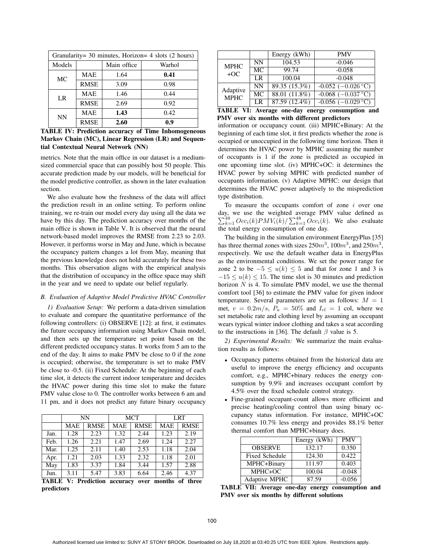| Granularity= 30 minutes, Horizon= 4 slots (2 hours) |             |             |        |  |
|-----------------------------------------------------|-------------|-------------|--------|--|
| Models                                              |             | Main office | Warhol |  |
| <b>MAE</b><br>MC                                    |             | 1.64        | 0.41   |  |
|                                                     | <b>RMSE</b> | 3.09        | 0.98   |  |
| LR                                                  | <b>MAE</b>  | 1.46        | 0.44   |  |
|                                                     | <b>RMSE</b> | 2.69        | 0.92   |  |
| <b>NN</b>                                           | <b>MAE</b>  | 1.43        | 0.42   |  |
|                                                     | <b>RMSE</b> | 2.60        | 0.9    |  |

TABLE IV: Prediction accuracy of Time Inhomogeneous Markov Chain (MC), Linear Regression (LR) and Sequential Contextual Neural Network (NN)

metrics. Note that the main office in our dataset is a mediumsized commercial space that can possibly host 50 people. This accurate prediction made by our models, will be beneficial for the model predictive controller, as shown in the later evaluation section.

We also evaluate how the freshness of the data will affect the prediction result in an online setting. To perform online training, we re-train our model every day using all the data we have by this day. The prediction accuracy over months of the main office is shown in Table V. It is observed that the neural network-based model improves the RMSE from 2.23 to 2.03. However, it performs worse in May and June, which is because the occupancy pattern changes a lot from May, meaning that the previous knowledge does not hold accurately for these two months. This observation aligns with the empirical analysis that the distribution of occupancy in the office space may shift in the year and we need to update our belief regularly.

## *B. Evaluation of Adaptive Model Predictive HVAC Controller*

*1) Evaluation Setup:* We perform a data-driven simulation to evaluate and compare the quantitative performance of the following controllers: (i) OBSERVE [12]: at first, it estimates the future occupancy information using Markov Chain model, and then sets up the temperature set point based on the different predicted occupancy status. It works from 5 am to the end of the day. It aims to make PMV be close to 0 if the zone is occupied; otherwise, the temperature is set to make PMV be close to -0.5. (ii) Fixed Schedule: At the beginning of each time slot, it detects the current indoor temperature and decides the HVAC power during this time slot to make the future PMV value close to 0. The controller works between 6 am and 11 pm, and it does not predict any future binary occupancy

|      | <b>NN</b>  |                                     | <b>MCT</b> |             |            | <b>LRT</b>      |  |
|------|------------|-------------------------------------|------------|-------------|------------|-----------------|--|
|      | <b>MAE</b> | <b>RMSE</b>                         | <b>MAE</b> | <b>RMSE</b> | <b>MAE</b> | <b>RMSE</b>     |  |
| Jan. | 1.28       | 2.23                                | 1.32       | 2.44        | 1.23       | 2.19            |  |
| Feb. | 1.26       | 2.21                                | 1.47       | 2.69        | 1.24       | 2.27            |  |
| Mar. | 1.25       | 2.11                                | 1.40       | 2.53        | 1.18       | 2.04            |  |
| Apr. | 1.21       | 2.03                                | 1.33       | 2.32        | 1.18       | 2.01            |  |
| May  | 1.83       | 3.37                                | 1.84       | 3.44        | 1.57       | 2.88            |  |
| Jun. | 3.11       | 5.47                                | 3.83       | 6.64        | 2.46       | 4.37            |  |
|      |            | <b>TABLE V: Prediction accuracy</b> |            | over        |            | months of three |  |

predictors

|                      |           | Energy (kWh)  | <b>PMV</b>              |  |
|----------------------|-----------|---------------|-------------------------|--|
| <b>MPHC</b><br>$+OC$ | <b>NN</b> | 104.53        | $-0.046$                |  |
|                      | MC        | 99.74         | $-0.058$                |  |
|                      | I R       | 100.04        | $-0.048$                |  |
| Adaptive             | <b>NN</b> | 89.35 (15.3%) | $-0.052$ ( $-0.026$ °C) |  |
| <b>MPHC</b>          | МC        | 88.01 (11.8%) | $-0.068 (-0.037 °C)$    |  |
|                      | LR        | 87.59 (12.4%) | $-0.056$ $(-0.029$ °C)  |  |

TABLE VI: Average one-day energy consumption and PMV over six months with different predictors

information or occupancy count. (iii) MPHC+Binary: At the beginning of each time slot, it first predicts whether the zone is occupied or unoccupied in the following time horizon. Then it determines the HVAC power by MPHC assuming the number of occupants is 1 if the zone is predicted as occupied in one upcoming time slot. (iv) MPHC+OC: it determines the HVAC power by solving MPHC with predicted number of occupants information. (v) Adaptive MPHC: our design that determines the HVAC power adaptively to the misprediction type distribution.

To measure the occupants comfort of zone  $i$  over one day, we use the weighted average PMV value defined as  $\sum_{k=1}^{48} Occ_i(k)PMV_i(k)/\sum_{k=1}^{48}Occ_i(k)$ . We also evaluate the total energy consumption of one day.

The building in the simulation environment EnergyPlus [35] has three thermal zones with sizes  $250m^3$ ,  $100m^3$ , and  $250m^3$ , respectively. We use the default weather data in EnergyPlus as the environmental conditions. We set the power range for zone 2 to be  $-5 \le u(k) \le 5$  and that for zone 1 and 3 is  $-15 \le u(k) \le 15$ . The time slot is 30 minutes and prediction horizon  $N$  is 4. To simulate PMV model, we use the thermal comfort tool [36] to estimate the PMV value for given indoor temperature. Several parameters are set as follows:  $M = 1$ met,  $v = 0.2m/s$ ,  $P_a = 50\%$  and  $I_{cl} = 1$  col, where we set metabolic rate and clothing level by assuming an occupant wears typical winter indoor clothing and takes a seat according to the instructions in [36]. The default  $\beta$  value is 5.

*2) Experimental Results:* We summarize the main evaluation results as follows:

- Occupancy patterns obtained from the historical data are useful to improve the energy efficiency and occupants comfort, e.g., MPHC+binary reduces the energy consumption by 9.9% and increases occupant comfort by 4.5% over the fixed schedule control strategy.
- Fine-grained occupant-count allows more efficient and precise heating/cooling control than using binary occupancy status information. For instance, MPHC+OC consumes 10.7% less energy and provides 88.1% better thermal comfort than MPHC+binary does.

|                       | Energy (kWh) | <b>PMV</b> |
|-----------------------|--------------|------------|
| <b>OBSERVE</b>        | 132.17       | 0.350      |
| <b>Fixed Schedule</b> | 124.30       | 0.422      |
| MPHC+Binary           | 111.97       | 0.403      |
| MPHC+OC               | 100.04       | $-0.048$   |
| Adaptive MPHC         | 87.59        | $-0.056$   |

TABLE VII: Average one-day energy consumption and PMV over six months by different solutions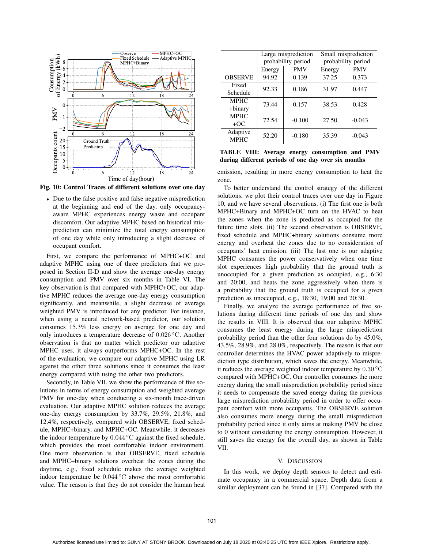

Fig. 10: Control Traces of different solutions over one day

• Due to the false positive and false negative misprediction at the beginning and end of the day, only occupancyaware MPHC experiences energy waste and occupant discomfort. Our adaptive MPHC based on historical misprediction can minimize the total energy consumption of one day while only introducing a slight decrease of occupant comfort.

First, we compare the performance of MPHC+OC and adaptive MPHC using one of three predictors that we proposed in Section II-D and show the average one-day energy consumption and PMV over six months in Table VI. The key observation is that compared with MPHC+OC, our adaptive MPHC reduces the average one-day energy consumption significantly, and meanwhile, a slight decrease of average weighted PMV is introduced for any predictor. For instance, when using a neural network-based predictor, our solution consumes 15.3% less energy on average for one day and only introduces a temperature decrease of 0.026 ◦C. Another observation is that no matter which predictor our adaptive MPHC uses, it always outperforms MPHC+OC. In the rest of the evaluation, we compare our adaptive MPHC using LR against the other three solutions since it consumes the least energy compared with using the other two predictors.

Secondly, in Table VII, we show the performance of five solutions in terms of energy consumption and weighted average PMV for one-day when conducting a six-month trace-driven evaluation. Our adaptive MPHC solution reduces the average one-day energy consumption by 33.7%, 29.5%, 21.8%, and 12.4%, respectively, compared with OBSERVE, fixed schedule, MPHC+binary, and MPHC+OC. Meanwhile, it decreases the indoor temperature by 0.044 ◦C against the fixed schedule, which provides the most comfortable indoor environment. One more observation is that OBSERVE, fixed schedule and MPHC+binary solutions overheat the zones during the daytime, e.g., fixed schedule makes the average weighted indoor temperature be 0.044 ◦C above the most comfortable value. The reason is that they do not consider the human heat

|                | Large misprediction |            | Small misprediction |            |  |
|----------------|---------------------|------------|---------------------|------------|--|
|                | probability period  |            | probability period  |            |  |
|                | Energy              | <b>PMV</b> | Energy              | <b>PMV</b> |  |
| <b>OBSERVE</b> | 94.92               | 0.139      | 37.25               | 0.373      |  |
| Fixed          | 92.33               | 0.186      | 31.97               | 0.447      |  |
| Schedule       |                     |            |                     |            |  |
| <b>MPHC</b>    | 73.44               | 0.157      | 38.53               | 0.428      |  |
| +binary        |                     |            |                     |            |  |
| <b>MPHC</b>    | 72.54               | $-0.100$   | 27.50               | $-0.043$   |  |
| $+OC$          |                     |            |                     |            |  |
| Adaptive       | 52.20               | $-0.180$   | 35.39               | $-0.043$   |  |
| <b>MPHC</b>    |                     |            |                     |            |  |

TABLE VIII: Average energy consumption and PMV during different periods of one day over six months

emission, resulting in more energy consumption to heat the zone.

To better understand the control strategy of the different solutions, we plot their control traces over one day in Figure 10, and we have several observations. (i) The first one is both MPHC+Binary and MPHC+OC turn on the HVAC to heat the zones when the zone is predicted as occupied for the future time slots. (ii) The second observation is OBSERVE, fixed schedule and MPHC+binary solutions consume more energy and overheat the zones due to no consideration of occupants' heat emission. (iii) The last one is our adaptive MPHC consumes the power conservatively when one time slot experiences high probability that the ground truth is unoccupied for a given prediction as occupied, e.g., 6:30 and 20:00, and heats the zone aggressively when there is a probability that the ground truth is occupied for a given prediction as unoccupied, e.g., 18:30, 19:00 and 20:30.

Finally, we analyze the average performance of five solutions during different time periods of one day and show the results in VIII. It is observed that our adaptive MPHC consumes the least energy during the large misprediction probability period than the other four solutions do by 45.0%, 43.5%, 28.9%, and 28.0%, respectively. The reason is that our controller determines the HVAC power adaptively to misprediction type distribution, which saves the energy. Meanwhile, it reduces the average weighted indoor temperature by  $0.30\degree C$ compared with MPHC+OC. Our controller consumes the more energy during the small misprediction probability period since it needs to compensate the saved energy during the previous large misprediction probability period in order to offer occupant comfort with more occupants. The OBSERVE solution also consumes more energy during the small misprediction probability period since it only aims at making PMV be close to 0 without considering the energy consumption. However, it still saves the energy for the overall day, as shown in Table VII.

## V. DISCUSSION

In this work, we deploy depth sensors to detect and estimate occupancy in a commercial space. Depth data from a similar deployment can be found in [37]. Compared with the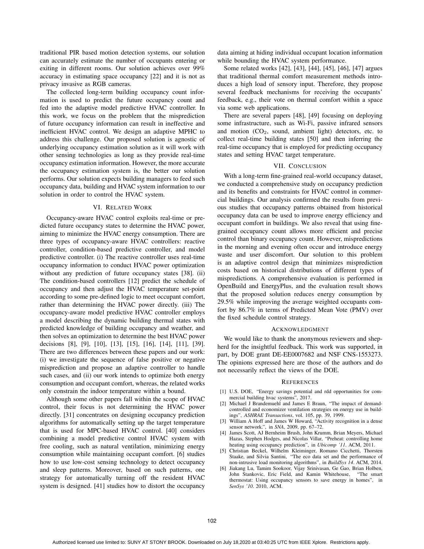traditional PIR based motion detection systems, our solution can accurately estimate the number of occupants entering or exiting in different rooms. Our solution achieves over 99% accuracy in estimating space occupancy [22] and it is not as privacy invasive as RGB cameras.

The collected long-term building occupancy count information is used to predict the future occupancy count and fed into the adaptive model predictive HVAC controller. In this work, we focus on the problem that the misprediction of future occupancy information can result in ineffective and inefficient HVAC control. We design an adaptive MPHC to address this challenge. Our proposed solution is agnostic of underlying occupancy estimation solution as it will work with other sensing technologies as long as they provide real-time occupancy estimation information. However, the more accurate the occupancy estimation system is, the better our solution performs. Our solution expects building managers to feed such occupancy data, building and HVAC system information to our solution in order to control the HVAC system.

## VI. RELATED WORK

Occupancy-aware HVAC control exploits real-time or predicted future occupancy states to determine the HVAC power, aiming to minimize the HVAC energy consumption. There are three types of occupancy-aware HVAC controllers: reactive controller, condition-based predictive controller, and model predictive controller. (i) The reactive controller uses real-time occupancy information to conduct HVAC power optimization without any prediction of future occupancy states [38]. (ii) The condition-based controllers [12] predict the schedule of occupancy and then adjust the HVAC temperature set-point according to some pre-defined logic to meet occupant comfort, rather than determining the HVAC power directly. (iii) The occupancy-aware model predictive HVAC controller employs a model describing the dynamic building thermal states with predicted knowledge of building occupancy and weather, and then solves an optimization to determine the best HVAC power decisions [8], [9], [10], [13], [15], [16], [14], [11], [39]. There are two differences between these papers and our work: (i) we investigate the sequence of false positive or negative misprediction and propose an adaptive controller to handle such cases, and (ii) our work intends to optimize both energy consumption and occupant comfort, whereas, the related works only constrain the indoor temperature within a bound.

Although some other papers fall within the scope of HVAC control, their focus is not determining the HVAC power directly. [31] concentrates on designing occupancy prediction algorithms for automatically setting up the target temperature that is used for MPC-based HVAC control. [40] considers combining a model predictive control HVAC system with free cooling, such as natural ventilation, minimizing energy consumption while maintaining occupant comfort. [6] studies how to use low-cost sensing technology to detect occupancy and sleep patterns. Moreover, based on such patterns, one strategy for automatically turning off the resident HVAC system is designed. [41] studies how to distort the occupancy

data aiming at hiding individual occupant location information while bounding the HVAC system performance.

Some related works [42], [43], [44], [45], [46], [47] argues that traditional thermal comfort measurement methods introduces a high load of sensory input. Therefore, they propose several feedback mechanisms for receiving the occupants' feedback, e.g., their vote on thermal comfort within a space via some web applications.

There are several papers [48], [49] focusing on deploying some infrastructure, such as Wi-Fi, passive infrared sensors and motion  $(CO_2,$  sound, ambient light) detectors, etc. to collect real-time building states [50] and then inferring the real-time occupancy that is employed for predicting occupancy states and setting HVAC target temperature.

#### VII. CONCLUSION

With a long-term fine-grained real-world occupancy dataset, we conducted a comprehensive study on occupancy prediction and its benefits and constraints for HVAC control in commercial buildings. Our analysis confirmed the results from previous studies that occupancy patterns obtained from historical occupancy data can be used to improve energy efficiency and occupant comfort in buildings. We also reveal that using finegrained occupancy count allows more efficient and precise control than binary occupancy count. However, mispredictions in the morning and evening often occur and introduce energy waste and user discomfort. Our solution to this problem is an adaptive control design that minimizes misprediction costs based on historical distributions of different types of mispredictions. A comprehensive evaluation is performed in OpenBuild and EnergyPlus, and the evaluation result shows that the proposed solution reduces energy consumption by 29.5% while improving the average weighted occupants comfort by 86.7% in terms of Predicted Mean Vote (PMV) over the fixed schedule control strategy.

#### ACKNOWLEDGMENT

We would like to thank the anonymous reviewers and shepherd for the insightful feedback. This work was supported, in part, by DOE grant DE-EE0007682 and NSF CNS-1553273. The opinions expressed here are those of the authors and do not necessarily reflect the views of the DOE.

#### **REFERENCES**

- [1] U.S. DOE, "Energy savings potential and rdd opportunities for commercial building hvac systems", 2017.
- [2] Michael J Brandemuehl and James E Braun, "The impact of demandcontrolled and economizer ventilation strategies on energy use in buildings", *ASHRAE Transactions*, vol. 105, pp. 39, 1999.
- [3] William A Hoff and James W Howard, "Activity recognition in a dense sensor network.", in *SNA*, 2009, pp. 67–72.
- [4] James Scott, AJ Bernheim Brush, John Krumm, Brian Meyers, Michael Hazas, Stephen Hodges, and Nicolas Villar, "Preheat: controlling home heating using occupancy prediction", in *Ubicomp '11*. ACM, 2011.
- [5] Christian Beckel, Wilhelm Kleiminger, Romano Cicchetti, Thorsten Staake, and Silvia Santini, "The eco data set and the performance of non-intrusive load monitoring algorithms", in *BuildSys 14*. ACM, 2014.
- [6] Jiakang Lu, Tamim Sookoor, Vijay Srinivasan, Ge Gao, Brian Holben, John Stankovic, Eric Field, and Kamin Whitehouse, "The smart thermostat: Using occupancy sensors to save energy in homes", in *SenSys '10*. 2010, ACM.